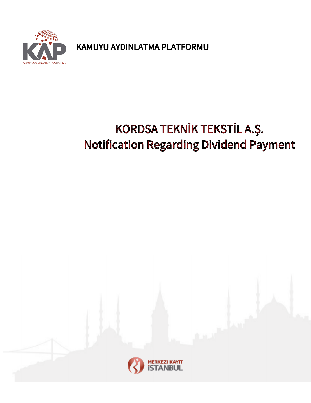

KAMUYU AYDINLATMA PLATFORMU

# KORDSA TEKNİK TEKSTİL A.Ş. Notification Regarding Dividend Payment

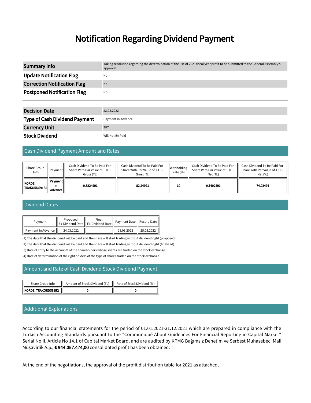## Notification Regarding Dividend Payment

| <b>Summary Info</b>                 | Taking resolution regarding the determination of the use of 2021 fiscal year profit to be submitted to the General Assembly's<br>approval. |
|-------------------------------------|--------------------------------------------------------------------------------------------------------------------------------------------|
| <b>Update Notification Flag</b>     | No                                                                                                                                         |
| <b>Correction Notification Flag</b> | <b>No</b>                                                                                                                                  |
| <b>Postponed Notification Flag</b>  | No                                                                                                                                         |
|                                     |                                                                                                                                            |
| <b>Decision Date</b>                | 22.02.2022                                                                                                                                 |

| <b>Type of Cash Dividend Payment</b> | Payment In Advance |
|--------------------------------------|--------------------|
| <b>Currency Unit</b>                 | <b>TRY</b>         |
| <b>Stock Dividend</b>                | Will Not Be Paid   |

#### Cash Dividend Payment Amount and Rates

| Share Group<br>Info            | Pavment <b> </b>         | Cash Dividend To Be Paid For<br>Share With Par Value of 1 TL -<br>Gross (TL) | Cash Dividend To Be Paid For<br>Share With Par Value of 1 TL -<br>Gross (%) | Withholding<br>Rate (%) | Cash Dividend To Be Paid For<br>Share With Par Value of 1 TL -<br>Net (TL) | Cash Dividend To Be Paid For<br>Share With Par Value of 1 TL -<br>Net (%) |
|--------------------------------|--------------------------|------------------------------------------------------------------------------|-----------------------------------------------------------------------------|-------------------------|----------------------------------------------------------------------------|---------------------------------------------------------------------------|
| <b>KORDS,</b><br> TRAKORDS91B2 | Payment<br>In<br>Advance | 0.8224991                                                                    | 82.24991                                                                    | 10                      | 0.7402491                                                                  | 74.02491                                                                  |

#### Dividend Dates

| Payment              | Proposed   | Final<br>  Ex-Dividend Date    Ex-Dividend Date | Payment Date   Record Date |            |
|----------------------|------------|-------------------------------------------------|----------------------------|------------|
| Payment In Advance I | 24.03.2022 |                                                 | 28.03.2022                 | 25.03.2022 |

(1) The date that the dividend will be paid and the share will start trading without dividend right (proposed).

(2) The date that the dividend will be paid and the share will start trading without dividend right (finalized).

(3) Date of entry to the accounts of the shareholders whose shares are traded on the stock exchange.

(4) Date of determination of the right holders of the type of shares traded on the stock exchange.

#### Amount and Rate of Cash Dividend Stock Dividend Payment

| Share Group Info      | Amount of Stock Dividend (TL) | Rate of Stock Dividend (%) |  |
|-----------------------|-------------------------------|----------------------------|--|
| KORDS, TRAKORDS91B2 , |                               |                            |  |

### Additional Explanations

According to our financial statements for the period of 01.01.2021-31.12.2021 which are prepared in compliance with the Turkish Accounting Standards pursuant to the "Communiqué About Guidelines For Financial Reporting in Capital Market" Serial No II, Article No 14.1 of Capital Market Board, and are audited by KPMG Bağımsız Denetim ve Serbest Muhasebeci Mali Müşavirlik A.Ş., **₺ 944.057.474,00** consolidated profit has been obtained.

At the end of the negotiations, the approval of the profit distribution table for 2021 as attached,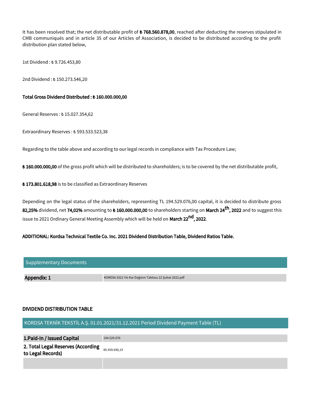It has been resolved that; the net distributable profit of  $\bm{t}$  768.560.878,00, reached after deducting the reserves stipulated in CMB communiqués and in article 35 of our Articles of Association, is decided to be distributed according to the profit distribution plan stated below,

1st Dividend : ₺ 9.726.453,80

2nd Dividend : ₺ 150.273.546,20

#### Total Gross Dividend Distributed : ₺ 160.000.000,00

General Reserves : ₺ 15.027.354,62

Extraordinary Reserves : ₺ 593.533.523,38

Regarding to the table above and according to our legal records in compliance with Tax Procedure Law;

₺ 160.000.000,00 of the gross profit which will be distributed to shareholders; is to be covered by the net distributable profit,

₺ 173.801.618,98 is to be classified as Extraordinary Reserves

Depending on the legal status of the shareholders, representing TL 194.529.076,00 capital, it is decided to distribute gross 82,25% dividend, net 74,02% amounting to  $\ast$  160.000.000,00 to shareholders starting on March 24<sup>th</sup>, 2022 and to suggest this issue to 2021 Ordinary General Meeting Assembly which will be held on **March 22<sup>nd</sup>, 2022**.

#### ADDITIONAL: Kordsa Technical Textile Co. Inc. 2021 Dividend Distribution Table, Dividend Ratios Table.

| Supplementary Documents |                                                        |
|-------------------------|--------------------------------------------------------|
|                         |                                                        |
| Appendix: 1             | KORDSA 2021 Yılı Kar Dağıtım Tablosu 22 Şubat 2022.pdf |

#### DIVIDEND DISTRIBUTION TABLE

#### KORDSA TEKNİK TEKSTİL A.Ş. 01.01.2021/31.12.2021 Period Dividend Payment Table (TL)

| 1. Paid-In / Issued Capital                             | 194.529.076   |
|---------------------------------------------------------|---------------|
| 2. Total Legal Reserves (According<br>to Legal Records) | 85.459.690.19 |
|                                                         |               |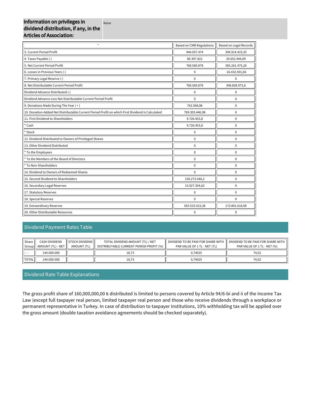#### Information on privileges in dividend distribution, if any, in the Articles of Association: None

| $\star$                                                                                          | <b>Based on CMB Regulations</b> | <b>Based on Legal Records</b> |
|--------------------------------------------------------------------------------------------------|---------------------------------|-------------------------------|
| 3. Current Period Profit                                                                         | 944.057.474                     | 394.914.419,35                |
| 4. Taxes Payable (-)                                                                             | 80.397.822                      | 29.652.944,09                 |
| 5. Net Current Period Profit                                                                     | 768.560.878                     | 365.261.475,26                |
| 6. Losses in Previous Years (-)                                                                  | $\pmb{0}$                       | $-16.432.501,66$              |
| 7. Primary Legal Reserve (-)                                                                     | $\Omega$                        | 0                             |
| 8. Net Distributable Current Period Profit                                                       | 768.560.878                     | 348.828.973,6                 |
| Dividend Advance Distributed (-)                                                                 | $\mathbf 0$                     | $\mathbf 0$                   |
| Dividend Advance Less Net Distributable Current Period Profit                                    | $\mathbf 0$                     | $\mathbf 0$                   |
| 9. Donations Made During The Year (+)                                                            | 742.568,98                      | $\mathbf 0$                   |
| 10. Donation-Added Net Distributable Current Period Profit on which First Dividend Is Calculated | 769.303.446,98                  | $\mathbf 0$                   |
| 11. First Dividend to Shareholders                                                               | 9.726.453,8                     | $\mathbf 0$                   |
| $*$ Cash                                                                                         | 9.726.453,8                     | $\mathbf 0$                   |
| * Stock                                                                                          | 0                               | $\mathbf 0$                   |
| 12. Dividend Distributed to Owners of Privileged Shares                                          | $\mathbf 0$                     | $\mathbf 0$                   |
| 13. Other Dividend Distributed                                                                   | $\mathbf 0$                     | $\mathbf 0$                   |
| * To the Employees                                                                               | $\mathbf 0$                     | $\mathbf 0$                   |
| * To the Members of the Board of Directors                                                       | $\mathbf 0$                     | $\mathbf 0$                   |
| * To Non-Shareholders                                                                            | $\mathbf 0$                     | $\mathbf 0$                   |
| 14. Dividend to Owners of Redeemed Shares                                                        | $\mathbf 0$                     | $\mathbf 0$                   |
| 15. Second Dividend to Shareholders                                                              | 150.273.546,2                   | $\mathbf 0$                   |
| 16. Secondary Legal Reserves                                                                     | 15.027.354,62                   | $\mathbf 0$                   |
| 17. Statutory Reserves                                                                           | $\pmb{0}$                       | $\mathbf 0$                   |
| 18. Special Reserves                                                                             | $\mathbf 0$                     | $\Omega$                      |
| 19. Extraordinary Reserves                                                                       | 593.533.523,38                  | 173.801.618,98                |
| 20. Other Distributable Resources                                                                | $\pmb{0}$                       | $\mathbf 0$                   |

#### Dividend Payment Rates Table

| Share<br>Group | <b>CASH DIVIDEND</b><br>AMOUNT (TL) - NET | <b>STOCK DIVIDEND</b><br>AMOUNT (TL) | TOTAL DIVIDEND AMOUNT (TL) / NET<br>DISTRIBUTABLE CURRENT PERIOD PROFIT (%) | DIVIDEND TO BE PAID FOR SHARE WITH<br>PAR VALUE OF 1 TL - NET (TL) | DIVIDEND TO BE PAID FOR SHARE WITH<br>PAR VALUE OF 1 TL - NET (%) |
|----------------|-------------------------------------------|--------------------------------------|-----------------------------------------------------------------------------|--------------------------------------------------------------------|-------------------------------------------------------------------|
| <b>H</b> – – – | 144.000.000                               |                                      | 18,73                                                                       | 0.74025                                                            | 74.02                                                             |
| <b>TOTAL</b>   | 144.000.000                               |                                      | 18,73                                                                       | 0.74025                                                            | 74.02                                                             |

### Dividend Rate Table Explanations

The gross profit share of 160,000,000,00 ₺ distributed is limited to persons covered by Article 94/6-bi and ii of the Income Tax Law (except full taxpayer real person, limited taxpayer real person and those who receive dividends through a workplace or permanent representative in Turkey. In case of distribution to taxpayer institutions, 10% withholding tax will be applied over the gross amount (double taxation avoidance agreements should be checked separately).